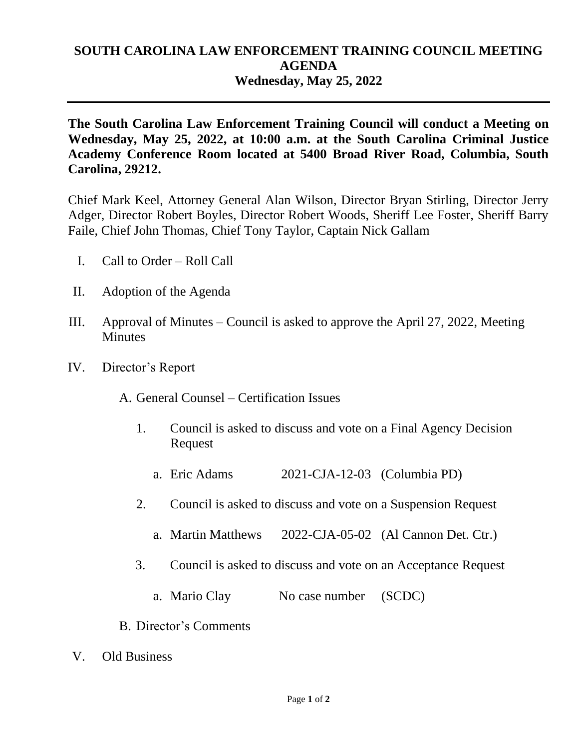## **SOUTH CAROLINA LAW ENFORCEMENT TRAINING COUNCIL MEETING AGENDA Wednesday, May 25, 2022**

**The South Carolina Law Enforcement Training Council will conduct a Meeting on Wednesday, May 25, 2022, at 10:00 a.m. at the South Carolina Criminal Justice Academy Conference Room located at 5400 Broad River Road, Columbia, South Carolina, 29212.** 

Chief Mark Keel, Attorney General Alan Wilson, Director Bryan Stirling, Director Jerry Adger, Director Robert Boyles, Director Robert Woods, Sheriff Lee Foster, Sheriff Barry Faile, Chief John Thomas, Chief Tony Taylor, Captain Nick Gallam

- I. Call to Order Roll Call
- II. Adoption of the Agenda
- III. Approval of Minutes Council is asked to approve the April 27, 2022, Meeting **Minutes**
- IV. Director's Report

A. General Counsel – Certification Issues

- 1. Council is asked to discuss and vote on a Final Agency Decision Request
	- a. Eric Adams 2021-CJA-12-03 (Columbia PD)
- 2. Council is asked to discuss and vote on a Suspension Request
	- a. Martin Matthews 2022-CJA-05-02 (Al Cannon Det. Ctr.)
- 3. Council is asked to discuss and vote on an Acceptance Request
	- a. Mario Clay No case number (SCDC)
- B. Director's Comments
- V. Old Business